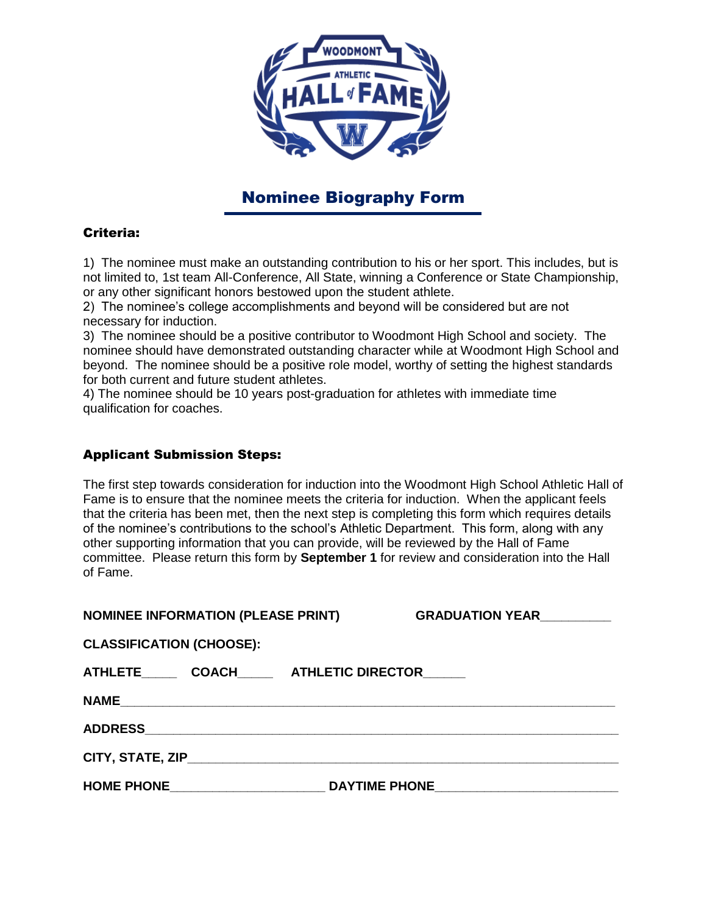

## Nominee Biography Form

## Criteria:

1) The nominee must make an outstanding contribution to his or her sport. This includes, but is not limited to, 1st team All-Conference, All State, winning a Conference or State Championship, or any other significant honors bestowed upon the student athlete.

2) The nominee's college accomplishments and beyond will be considered but are not necessary for induction.

3) The nominee should be a positive contributor to Woodmont High School and society. The nominee should have demonstrated outstanding character while at Woodmont High School and beyond. The nominee should be a positive role model, worthy of setting the highest standards for both current and future student athletes.

4) The nominee should be 10 years post-graduation for athletes with immediate time qualification for coaches.

## Applicant Submission Steps:

The first step towards consideration for induction into the Woodmont High School Athletic Hall of Fame is to ensure that the nominee meets the criteria for induction. When the applicant feels that the criteria has been met, then the next step is completing this form which requires details of the nominee's contributions to the school's Athletic Department. This form, along with any other supporting information that you can provide, will be reviewed by the Hall of Fame committee. Please return this form by **September 1** for review and consideration into the Hall of Fame.

| <b>NOMINEE INFORMATION (PLEASE PRINT)</b> | GRADUATION YEAR <b>CONSUMING RADUATION</b> |
|-------------------------------------------|--------------------------------------------|
| <b>CLASSIFICATION (CHOOSE):</b>           |                                            |
| ATHLETE COACH ATHLETIC DIRECTOR           |                                            |
|                                           |                                            |
|                                           |                                            |
|                                           |                                            |
| HOME PHONE _______________________        |                                            |